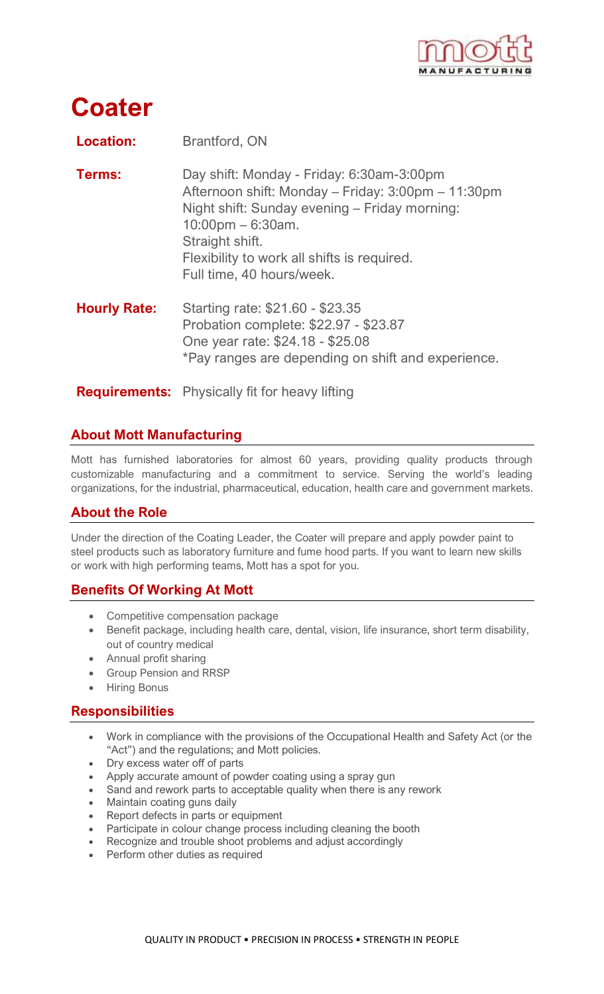

# **Coater**

| <b>Location:</b>    | Brantford, ON                                                                                                                                                                                                                                                           |
|---------------------|-------------------------------------------------------------------------------------------------------------------------------------------------------------------------------------------------------------------------------------------------------------------------|
| Terms:              | Day shift: Monday - Friday: 6:30am-3:00pm<br>Afternoon shift: Monday – Friday: 3:00pm – 11:30pm<br>Night shift: Sunday evening - Friday morning:<br>$10:00$ pm – 6:30am.<br>Straight shift.<br>Flexibility to work all shifts is required.<br>Full time, 40 hours/week. |
| <b>Hourly Rate:</b> | Starting rate: \$21.60 - \$23.35<br>Probation complete: \$22.97 - \$23.87<br>One year rate: \$24.18 - \$25.08<br>*Pay ranges are depending on shift and experience.                                                                                                     |
|                     | <b>Requirements:</b> Physically fit for heavy lifting                                                                                                                                                                                                                   |

# **About Mott Manufacturing**

Mott has furnished laboratories for almost 60 years, providing quality products through customizable manufacturing and a commitment to service. Serving the world's leading organizations, for the industrial, pharmaceutical, education, health care and government markets.

## **About the Role**

Under the direction of the Coating Leader, the Coater will prepare and apply powder paint to steel products such as laboratory furniture and fume hood parts. If you want to learn new skills or work with high performing teams, Mott has a spot for you.

## **Benefits Of Working At Mott**

- Competitive compensation package
- Benefit package, including health care, dental, vision, life insurance, short term disability, out of country medical
- Annual profit sharing
- Group Pension and RRSP
- Hiring Bonus

#### **Responsibilities**

- Work in compliance with the provisions of the Occupational Health and Safety Act (or the "Act") and the regulations; and Mott policies.
- Dry excess water off of parts
- Apply accurate amount of powder coating using a spray gun
- Sand and rework parts to acceptable quality when there is any rework
- Maintain coating guns daily
- Report defects in parts or equipment
- Participate in colour change process including cleaning the booth
- Recognize and trouble shoot problems and adjust accordingly
- Perform other duties as required